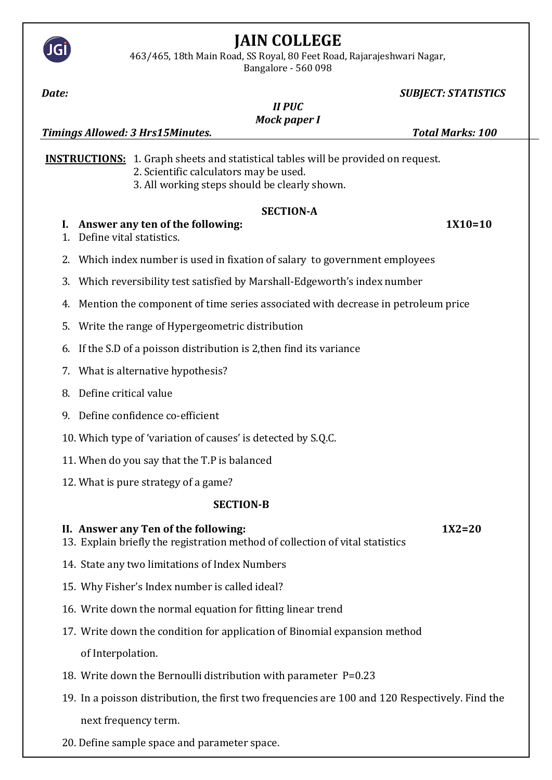

463/465, 18th Main Road, SS Royal, 80 Feet Road, Rajarajeshwari Nagar,

Bangalore - 560 098

*Date: SUBJECT: STATISTICS II PUC Mock paper I Timings Allowed: 3 Hrs15Minutes. Total Marks: 100* **INSTRUCTIONS:** 1. Graph sheets and statistical tables will be provided on request. 2. Scientific calculators may be used. 3. All working steps should be clearly shown. **SECTION-A I. Answer any ten of the following: 1X10=10** 1. Define vital statistics. 2. Which index number is used in fixation of salary to government employees 3. Which reversibility test satisfied by Marshall-Edgeworth's index number 4. Mention the component of time series associated with decrease in petroleum price 5. Write the range of Hypergeometric distribution 6. If the S.D of a poisson distribution is 2,then find its variance 7. What is alternative hypothesis? 8. Define critical value 9. Define confidence co-efficient 10. Which type of 'variation of causes' is detected by S.Q.C. 11. When do you say that the T.P is balanced 12. What is pure strategy of a game? **SECTION-B II. Answer any Ten of the following: 1X2=20** 13. Explain briefly the registration method of collection of vital statistics 14. State any two limitations of Index Numbers 15. Why Fisher's Index number is called ideal? 16. Write down the normal equation for fitting linear trend 17. Write down the condition for application of Binomial expansion method of Interpolation. 18. Write down the Bernoulli distribution with parameter P=0.23 19. In a poisson distribution, the first two frequencies are 100 and 120 Respectively. Find the next frequency term.

20. Define sample space and parameter space.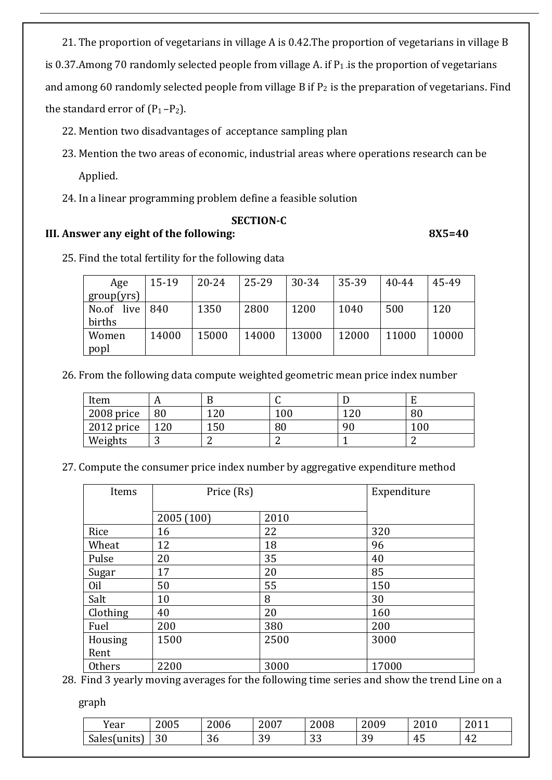21. The proportion of vegetarians in village A is 0.42.The proportion of vegetarians in village B is 0.37.Among 70 randomly selected people from village A. if  $P_1$  is the proportion of vegetarians and among 60 randomly selected people from village B if  $P_2$  is the preparation of vegetarians. Find the standard error of  $(P_1-P_2)$ .

- 22. Mention two disadvantages of acceptance sampling plan
- 23. Mention the two areas of economic, industrial areas where operations research can be Applied.
- 24. In a linear programming problem define a feasible solution

### **SECTION-C**

## **III. Answer any eight of the following: 8X5=40**

25. Find the total fertility for the following data

| Age           | $15-19$ | $20 - 24$ | $25 - 29$ | 30-34 | 35-39 | 40-44 | 45-49 |
|---------------|---------|-----------|-----------|-------|-------|-------|-------|
| group(yrs)    |         |           |           |       |       |       |       |
| live<br>No.of | 840     | 1350      | 2800      | 1200  | 1040  | 500   | 120   |
| births        |         |           |           |       |       |       |       |
| Women         | 14000   | 15000     | 14000     | 13000 | 12000 | 11000 | 10000 |
| popl          |         |           |           |       |       |       |       |

26. From the following data compute weighted geometric mean price index number

| Item       | 1 P |     |     |     |         |
|------------|-----|-----|-----|-----|---------|
| 2008 price | 80  | 120 | 100 | 120 | 80      |
| 2012 price | 120 | 150 | 80  | 90  | $100\,$ |
| Weights    | ັ   |     |     |     |         |

27. Compute the consumer price index number by aggregative expenditure method

| Items         | Price (Rs) |      | Expenditure |
|---------------|------------|------|-------------|
|               | 2005 (100) | 2010 |             |
| Rice          | 16         | 22   | 320         |
| Wheat         | 12         | 18   | 96          |
| Pulse         | 20         | 35   | 40          |
| Sugar         | 17         | 20   | 85          |
| Oil           | 50         | 55   | 150         |
| Salt          | 10         | 8    | 30          |
| Clothing      | 40         | 20   | 160         |
| Fuel          | 200        | 380  | 200         |
| Housing       | 1500       | 2500 | 3000        |
| Rent          |            |      |             |
| <b>Others</b> | 2200       | 3000 | 17000       |

28. Find 3 yearly moving averages for the following time series and show the trend Line on a

graph

| $\mathbf{v}$<br>rear | 2005           | 2006         | 2007           | 2008      | 2009          | 0.010<br>40 I V      | $7011$<br>40 1 1 |
|----------------------|----------------|--------------|----------------|-----------|---------------|----------------------|------------------|
| Sales (units)        | $\Omega$<br>Jυ | $\sim$<br>36 | ററ<br>. U<br>ັ | ററ<br>ັບປ | $\Omega$<br>ັ | 4 <sup>5</sup><br>τυ | 42               |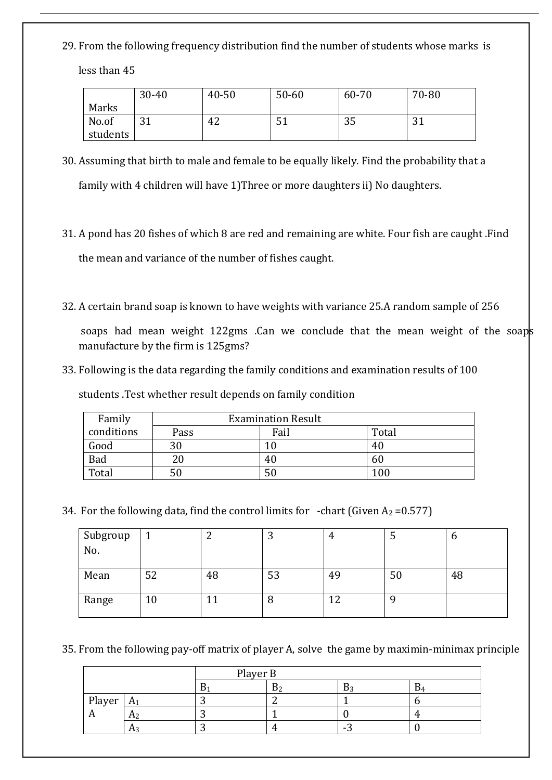29. From the following frequency distribution find the number of students whose marks is less than 45

|          | $30 - 40$ | $40 - 50$ | $50 - 60$ | 60-70 | 70-80       |
|----------|-----------|-----------|-----------|-------|-------------|
| Marks    |           |           |           |       |             |
| No.of    | <b>21</b> | 42        | JI        | 35    | າ 1<br>. பட |
| students |           |           |           |       |             |

- 30. Assuming that birth to male and female to be equally likely. Find the probability that a family with 4 children will have 1)Three or more daughters ii) No daughters.
- 31. A pond has 20 fishes of which 8 are red and remaining are white. Four fish are caught .Find the mean and variance of the number of fishes caught.
- 32. A certain brand soap is known to have weights with variance 25.A random sample of 256

soaps had mean weight 122gms .Can we conclude that the mean weight of the soaps manufacture by the firm is 125gms?

33. Following is the data regarding the family conditions and examination results of 100

students .Test whether result depends on family condition

| Family     |      | <b>Examination Result</b> |       |  |  |  |  |  |
|------------|------|---------------------------|-------|--|--|--|--|--|
| conditions | Pass | Fail                      | Total |  |  |  |  |  |
| Good       | 30   |                           | 40    |  |  |  |  |  |
| Bad        | 20   | 40                        | 60    |  |  |  |  |  |
| Total      | 50   | 50                        | 100   |  |  |  |  |  |

34. For the following data, find the control limits for -chart (Given  $A_2 = 0.577$ )

| Subgroup<br>No. |    | ∸  | ື  | 4  | ັ  | O  |
|-----------------|----|----|----|----|----|----|
| Mean            | 52 | 48 | 53 | 49 | 50 | 48 |
| Range           | 10 |    | 8  | 19 |    |    |

35. From the following pay-off matrix of player A, solve the game by maximin-minimax principle

|              |              | Player B |   |  |  |  |  |
|--------------|--------------|----------|---|--|--|--|--|
|              |              | Ď        |   |  |  |  |  |
| Player       | $A^{\prime}$ |          |   |  |  |  |  |
| $\mathbf{A}$ |              |          |   |  |  |  |  |
|              |              |          | ∽ |  |  |  |  |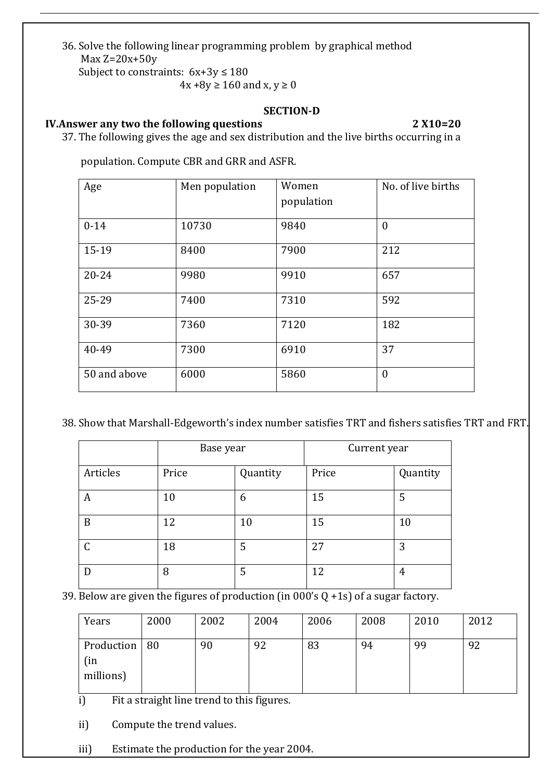36. Solve the following linear programming problem by graphical method Max  $Z=20x+50y$ 

Subject to constraints:  $6x+3y \le 180$ 

 $4x + 8y \ge 160$  and  $x, y \ge 0$ 

### **SECTION-D**

## **IV.Answer any two the following questions 2 X10=20**

37. The following gives the age and sex distribution and the live births occurring in a

population. Compute CBR and GRR and ASFR.

| Age          | Men population | Women<br>population | No. of live births |
|--------------|----------------|---------------------|--------------------|
| $0 - 14$     | 10730          | 9840                | $\mathbf{0}$       |
| 15-19        | 8400           | 7900                | 212                |
| $20 - 24$    | 9980           | 9910                | 657                |
| 25-29        | 7400           | 7310                | 592                |
| 30-39        | 7360           | 7120                | 182                |
| 40-49        | 7300           | 6910                | 37                 |
| 50 and above | 6000           | 5860                | $\mathbf{0}$       |

38. Show that Marshall-Edgeworth's index number satisfies TRT and fishers satisfies TRT and FRT.

|          | Base year |          | Current year |          |
|----------|-----------|----------|--------------|----------|
| Articles | Price     | Quantity | Price        | Quantity |
| A        | 10        | 6        | 15           | 5        |
| B        | 12        | 10       | 15           | 10       |
| C        | 18        | 5        | 27           | 3        |
|          | 8         | 5        | 12           | 4        |

39. Below are given the figures of production (in  $000$ 's Q +1s) of a sugar factory.

| Years                               | 2000 | 2002 | 2004 | 2006 | 2008 | 2010 | 2012 |
|-------------------------------------|------|------|------|------|------|------|------|
| Production   80<br>(in<br>millions) |      | 90   | 92   | 83   | 94   | 99   | 92   |

i) Fit a straight line trend to this figures.

ii) Compute the trend values.

iii) Estimate the production for the year 2004.